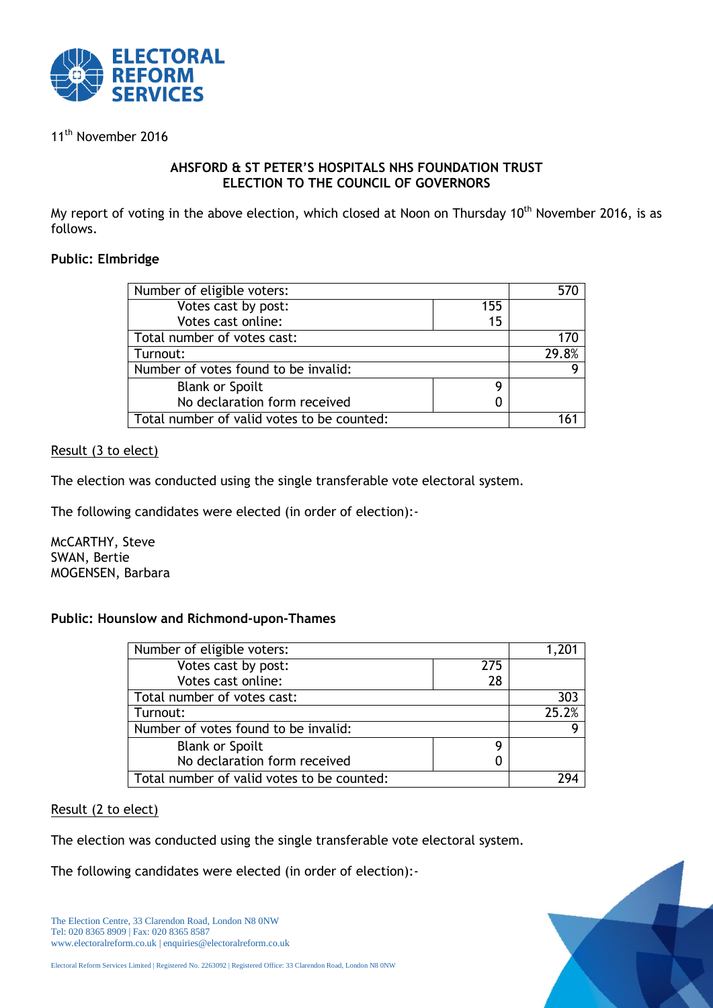

# 11<sup>th</sup> November 2016

### **AHSFORD & ST PETER'S HOSPITALS NHS FOUNDATION TRUST ELECTION TO THE COUNCIL OF GOVERNORS**

My report of voting in the above election, which closed at Noon on Thursday  $10<sup>th</sup>$  November 2016, is as follows.

### **Public: Elmbridge**

| Number of eligible voters:                 |     |       |
|--------------------------------------------|-----|-------|
| Votes cast by post:                        | 155 |       |
| Votes cast online:                         | 15  |       |
| Total number of votes cast:                |     |       |
| Turnout:                                   |     | 29.8% |
| Number of votes found to be invalid:       |     |       |
| <b>Blank or Spoilt</b>                     | q   |       |
| No declaration form received               |     |       |
| Total number of valid votes to be counted: |     |       |

## Result (3 to elect)

The election was conducted using the single transferable vote electoral system.

The following candidates were elected (in order of election):-

McCARTHY, Steve SWAN, Bertie MOGENSEN, Barbara

## **Public: Hounslow and Richmond-upon-Thames**

| Number of eligible voters:                 |     |       |
|--------------------------------------------|-----|-------|
| Votes cast by post:                        | 275 |       |
| Votes cast online:                         | 28  |       |
| Total number of votes cast:                |     | 303   |
| Turnout:                                   |     | 25.2% |
| Number of votes found to be invalid:       |     |       |
| <b>Blank or Spoilt</b>                     | g   |       |
| No declaration form received               |     |       |
| Total number of valid votes to be counted: |     |       |

### Result (2 to elect)

The election was conducted using the single transferable vote electoral system.

The following candidates were elected (in order of election):-

The Election Centre, 33 Clarendon Road, London N8 0NW Tel: 020 8365 8909 | Fax: 020 8365 8587 www.electoralreform.co.uk | enquiries@electoralreform.co.uk

Electoral Reform Services Limited | Registered No. 2263092 | Registered Office: 33 Clarendon Road, London N8 0NW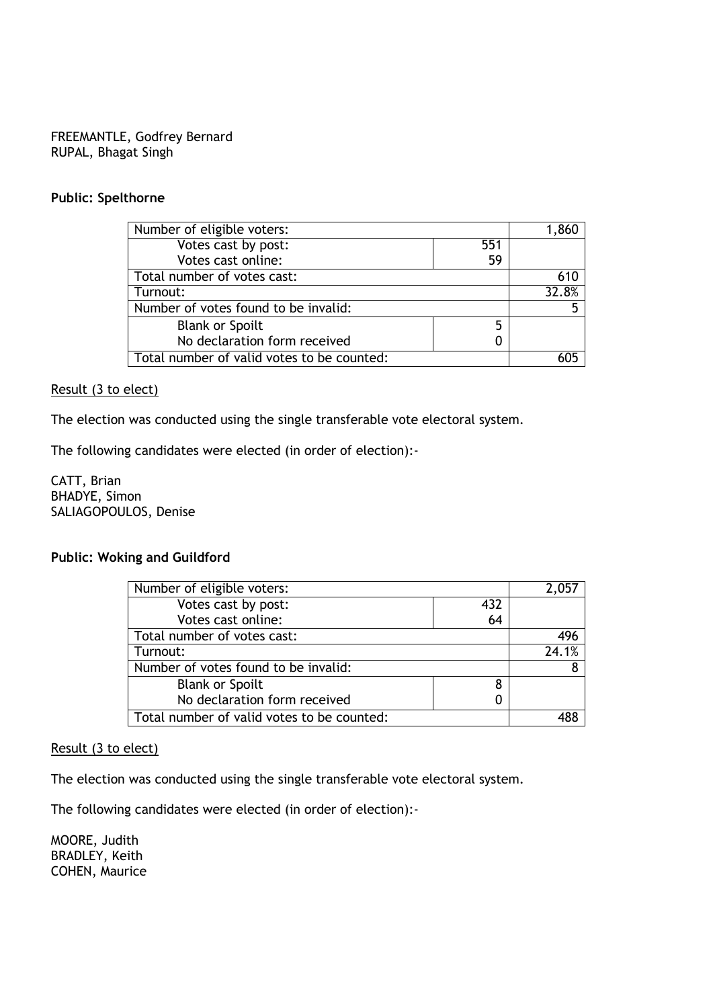FREEMANTLE, Godfrey Bernard RUPAL, Bhagat Singh

### **Public: Spelthorne**

| Number of eligible voters:                 |     | .860  |
|--------------------------------------------|-----|-------|
| Votes cast by post:                        | 551 |       |
| Votes cast online:                         | 59  |       |
| Total number of votes cast:                |     | 610   |
| Turnout:                                   |     | 32.8% |
| Number of votes found to be invalid:       |     |       |
| <b>Blank or Spoilt</b>                     | 5   |       |
| No declaration form received               |     |       |
| Total number of valid votes to be counted: |     |       |

### Result (3 to elect)

The election was conducted using the single transferable vote electoral system.

The following candidates were elected (in order of election):-

CATT, Brian BHADYE, Simon SALIAGOPOULOS, Denise

### **Public: Woking and Guildford**

| Number of eligible voters:                 |     |       |
|--------------------------------------------|-----|-------|
| Votes cast by post:                        | 432 |       |
| Votes cast online:                         | 64  |       |
| Total number of votes cast:                |     | 496   |
| Turnout:                                   |     | 24.1% |
| Number of votes found to be invalid:       |     |       |
| <b>Blank or Spoilt</b>                     | 8   |       |
| No declaration form received               | 0   |       |
| Total number of valid votes to be counted: |     |       |

### Result (3 to elect)

The election was conducted using the single transferable vote electoral system.

The following candidates were elected (in order of election):-

MOORE, Judith BRADLEY, Keith COHEN, Maurice